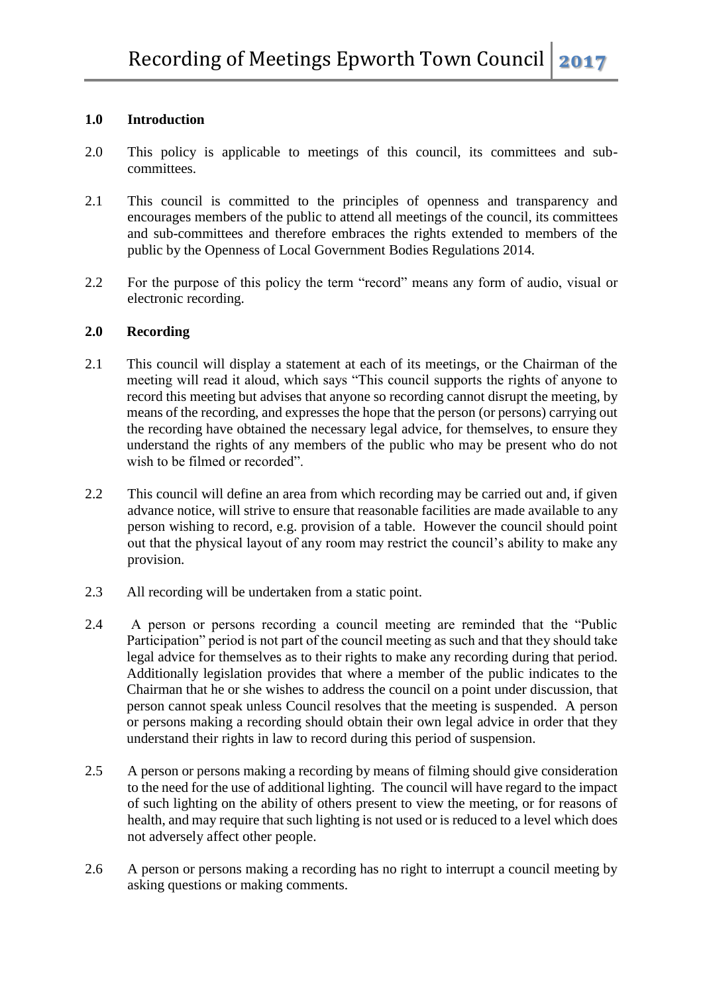## **1.0 Introduction**

- 2.0 This policy is applicable to meetings of this council, its committees and subcommittees.
- 2.1 This council is committed to the principles of openness and transparency and encourages members of the public to attend all meetings of the council, its committees and sub-committees and therefore embraces the rights extended to members of the public by the Openness of Local Government Bodies Regulations 2014.
- 2.2 For the purpose of this policy the term "record" means any form of audio, visual or electronic recording.

## **2.0 Recording**

- 2.1 This council will display a statement at each of its meetings, or the Chairman of the meeting will read it aloud, which says "This council supports the rights of anyone to record this meeting but advises that anyone so recording cannot disrupt the meeting, by means of the recording, and expresses the hope that the person (or persons) carrying out the recording have obtained the necessary legal advice, for themselves, to ensure they understand the rights of any members of the public who may be present who do not wish to be filmed or recorded".
- 2.2 This council will define an area from which recording may be carried out and, if given advance notice, will strive to ensure that reasonable facilities are made available to any person wishing to record, e.g. provision of a table. However the council should point out that the physical layout of any room may restrict the council's ability to make any provision.
- 2.3 All recording will be undertaken from a static point.
- 2.4 A person or persons recording a council meeting are reminded that the "Public Participation" period is not part of the council meeting as such and that they should take legal advice for themselves as to their rights to make any recording during that period. Additionally legislation provides that where a member of the public indicates to the Chairman that he or she wishes to address the council on a point under discussion, that person cannot speak unless Council resolves that the meeting is suspended. A person or persons making a recording should obtain their own legal advice in order that they understand their rights in law to record during this period of suspension.
- 2.5 A person or persons making a recording by means of filming should give consideration to the need for the use of additional lighting. The council will have regard to the impact of such lighting on the ability of others present to view the meeting, or for reasons of health, and may require that such lighting is not used or is reduced to a level which does not adversely affect other people.
- 2.6 A person or persons making a recording has no right to interrupt a council meeting by asking questions or making comments.